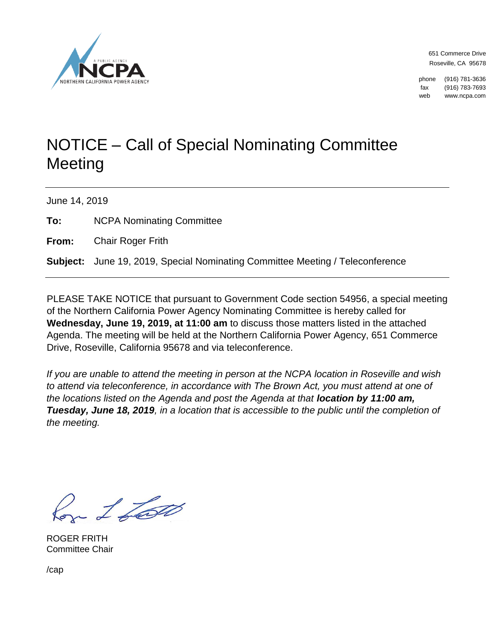

651 Commerce Drive Roseville, CA 95678

phone (916) 781-3636 fax (916) 783-7693 web www.ncpa.com

## NOTICE – Call of Special Nominating Committee **Meeting**

June 14, 2019

**To:** NCPA Nominating Committee

**From:** Chair Roger Frith

**Subject:** June 19, 2019, Special Nominating Committee Meeting / Teleconference

PLEASE TAKE NOTICE that pursuant to Government Code section 54956, a special meeting of the Northern California Power Agency Nominating Committee is hereby called for **Wednesday, June 19, 2019, at 11:00 am** to discuss those matters listed in the attached Agenda. The meeting will be held at the Northern California Power Agency, 651 Commerce Drive, Roseville, California 95678 and via teleconference.

*If you are unable to attend the meeting in person at the NCPA location in Roseville and wish to attend via teleconference, in accordance with The Brown Act, you must attend at one of the locations listed on the Agenda and post the Agenda at that <i>location by 11:00 am, Tuesday, June 18, 2019, in a location that is accessible to the public until the completion of the meeting.*

Con L Loto

ROGER FRITH Committee Chair

/cap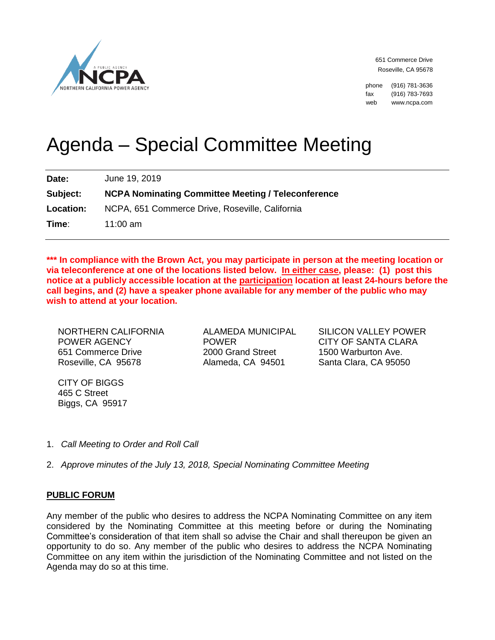

651 Commerce Drive Roseville, CA 95678

phone (916) 781-3636 fax (916) 783-7693 web www.ncpa.com

# Agenda – Special Committee Meeting

**Date:** June 19, 2019 **Subject: NCPA Nominating Committee Meeting / Teleconference** 

**Location:** NCPA, 651 Commerce Drive, Roseville, California

**Time**: 11:00 am

**\*\*\* In compliance with the Brown Act, you may participate in person at the meeting location or via teleconference at one of the locations listed below. In either case, please: (1) post this notice at a publicly accessible location at the participation location at least 24-hours before the call begins, and (2) have a speaker phone available for any member of the public who may wish to attend at your location.** 

NORTHERN CALIFORNIA POWER AGENCY 651 Commerce Drive Roseville, CA 95678

ALAMEDA MUNICIPAL POWER 2000 Grand Street Alameda, CA 94501

SILICON VALLEY POWER CITY OF SANTA CLARA 1500 Warburton Ave. Santa Clara, CA 95050

CITY OF BIGGS 465 C Street Biggs, CA 95917

- 1. *Call Meeting to Order and Roll Call*
- 2. *Approve minutes of the July 13, 2018, Special Nominating Committee Meeting*

### **PUBLIC FORUM**

Any member of the public who desires to address the NCPA Nominating Committee on any item considered by the Nominating Committee at this meeting before or during the Nominating Committee's consideration of that item shall so advise the Chair and shall thereupon be given an opportunity to do so. Any member of the public who desires to address the NCPA Nominating Committee on any item within the jurisdiction of the Nominating Committee and not listed on the Agenda may do so at this time.